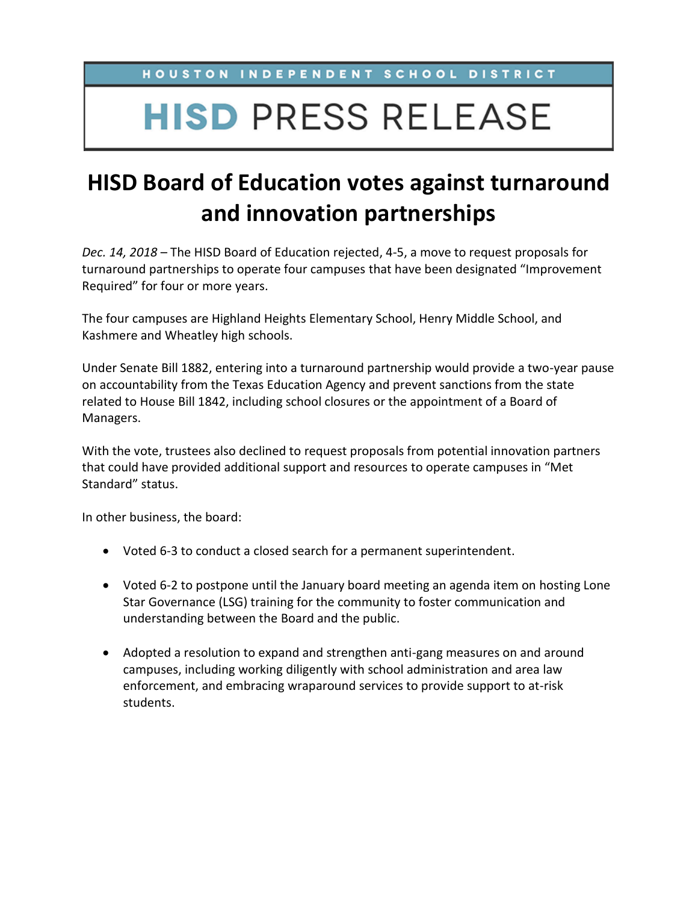HOUSTON INDEPENDENT SCHOOL DISTRICT

## **HISD PRESS RELEASE**

## **HISD Board of Education votes against turnaround and innovation partnerships**

*Dec. 14, 2018* – The HISD Board of Education rejected, 4-5, a move to request proposals for turnaround partnerships to operate four campuses that have been designated "Improvement Required" for four or more years.

The four campuses are Highland Heights Elementary School, Henry Middle School, and Kashmere and Wheatley high schools.

Under Senate Bill 1882, entering into a turnaround partnership would provide a two-year pause on accountability from the Texas Education Agency and prevent sanctions from the state related to House Bill 1842, including school closures or the appointment of a Board of Managers.

With the vote, trustees also declined to request proposals from potential innovation partners that could have provided additional support and resources to operate campuses in "Met Standard" status.

In other business, the board:

- Voted 6-3 to conduct a closed search for a permanent superintendent.
- Voted 6-2 to postpone until the January board meeting an agenda item on hosting Lone Star Governance (LSG) training for the community to foster communication and understanding between the Board and the public.
- Adopted a resolution to expand and strengthen anti-gang measures on and around campuses, including working diligently with school administration and area law enforcement, and embracing wraparound services to provide support to at-risk students.